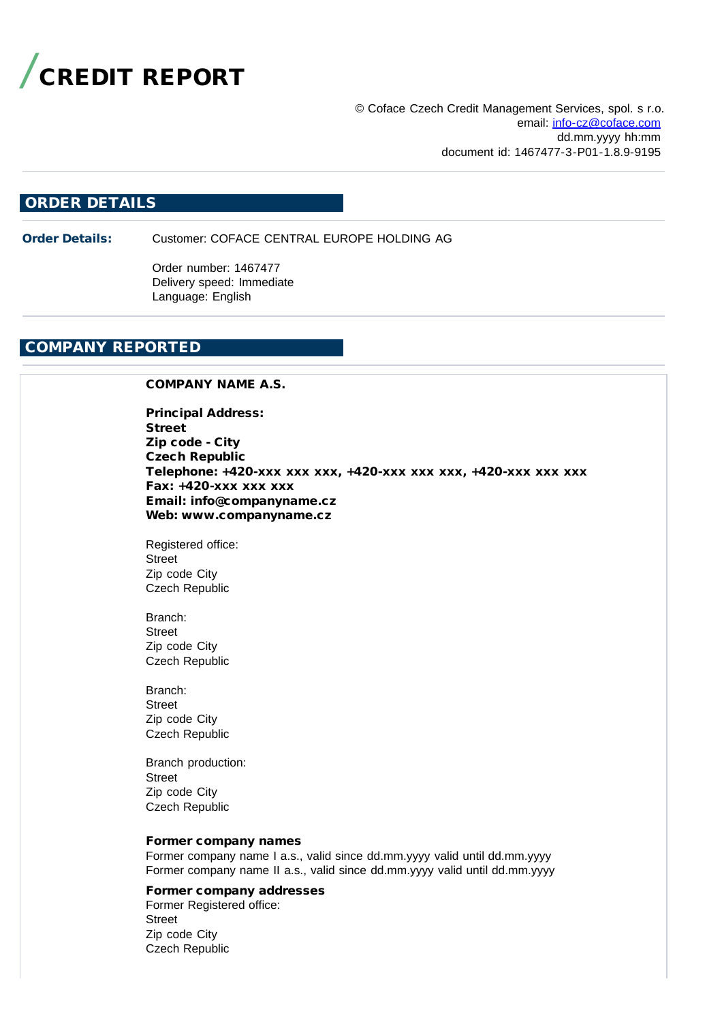

© Coface Czech Credit Management Services, spol. s r.o. email: [info-cz@coface.com](mailto:info-cz@coface.com) dd.mm.yyyy hh:mm document id: 1467477-3-P01-1.8.9-9195

# ORDER DETAILS

Order Details: Customer: COFACE CENTRAL EUROPE HOLDING AG

Order number: 1467477 Delivery speed: Immediate Language: English

# COMPANY REPORTED

### COMPANY NAME A.S.

Principal Address: Street Zip code - City Czech Republic Telephone: +420-xxx xxx xxx, +420-xxx xxx xxx, +420-xxx xxx xxx Fax: +420-xxx xxx xxx Email: info@companyname.cz Web: www.companyname.cz

Registered office: Street Zip code City Czech Republic

Branch: Street Zip code City Czech Republic

Branch: Street Zip code City Czech Republic

Branch production: Street Zip code City Czech Republic

#### Former company names

Former company name I a.s., valid since dd.mm.yyyy valid until dd.mm.yyyy Former company name II a.s., valid since dd.mm.yyyy valid until dd.mm.yyyy

#### Former company addresses

Former Registered office: Street Zip code City Czech Republic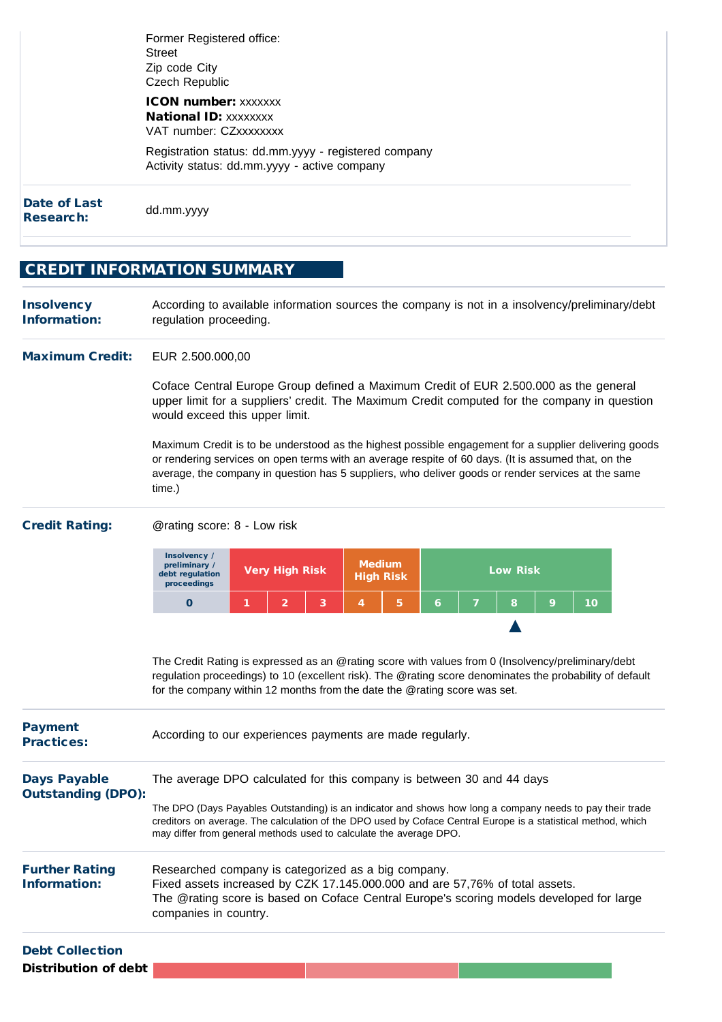| Date of Last<br>Research: | dd.mm.yyyy                                                                                           |
|---------------------------|------------------------------------------------------------------------------------------------------|
|                           | Registration status: dd.mm.yyyy - registered company<br>Activity status: dd.mm.yyyy - active company |
|                           | <b>ICON number: xxxxxxx</b><br><b>National ID: XXXXXXXX</b><br>VAT number: CZxxxxxxxx                |
|                           | Former Registered office:<br>Street<br>Zip code City<br>Czech Republic                               |

# CREDIT INFORMATION SUMMARY

**Insolvency** Information: According to available information sources the company is not in a insolvency/preliminary/debt regulation proceeding.

#### Maximum Credit: EUR 2.500.000,00

Coface Central Europe Group defined a Maximum Credit of EUR 2.500.000 as the general upper limit for a suppliers' credit. The Maximum Credit computed for the company in question would exceed this upper limit.

Maximum Credit is to be understood as the highest possible engagement for a supplier delivering goods or rendering services on open terms with an average respite of 60 days. (It is assumed that, on the average, the company in question has 5 suppliers, who deliver goods or render services at the same time.)

#### Credit Rating: @rating score: 8 - Low risk



The Credit Rating is expressed as an @rating score with values from 0 (Insolvency/preliminary/debt regulation proceedings) to 10 (excellent risk). The @rating score denominates the probability of default for the company within 12 months from the date the @rating score was set.

| According to our experiences payments are made regularly.                                                                                                                                                                                                                                        |
|--------------------------------------------------------------------------------------------------------------------------------------------------------------------------------------------------------------------------------------------------------------------------------------------------|
| The average DPO calculated for this company is between 30 and 44 days<br><b>Outstanding (DPO):</b>                                                                                                                                                                                               |
| The DPO (Days Payables Outstanding) is an indicator and shows how long a company needs to pay their trade<br>creditors on average. The calculation of the DPO used by Coface Central Europe is a statistical method, which<br>may differ from general methods used to calculate the average DPO. |
| Researched company is categorized as a big company.                                                                                                                                                                                                                                              |
| Fixed assets increased by CZK 17.145.000.000 and are 57,76% of total assets.                                                                                                                                                                                                                     |
| The @rating score is based on Coface Central Europe's scoring models developed for large<br>companies in country.                                                                                                                                                                                |
|                                                                                                                                                                                                                                                                                                  |

Debt Collection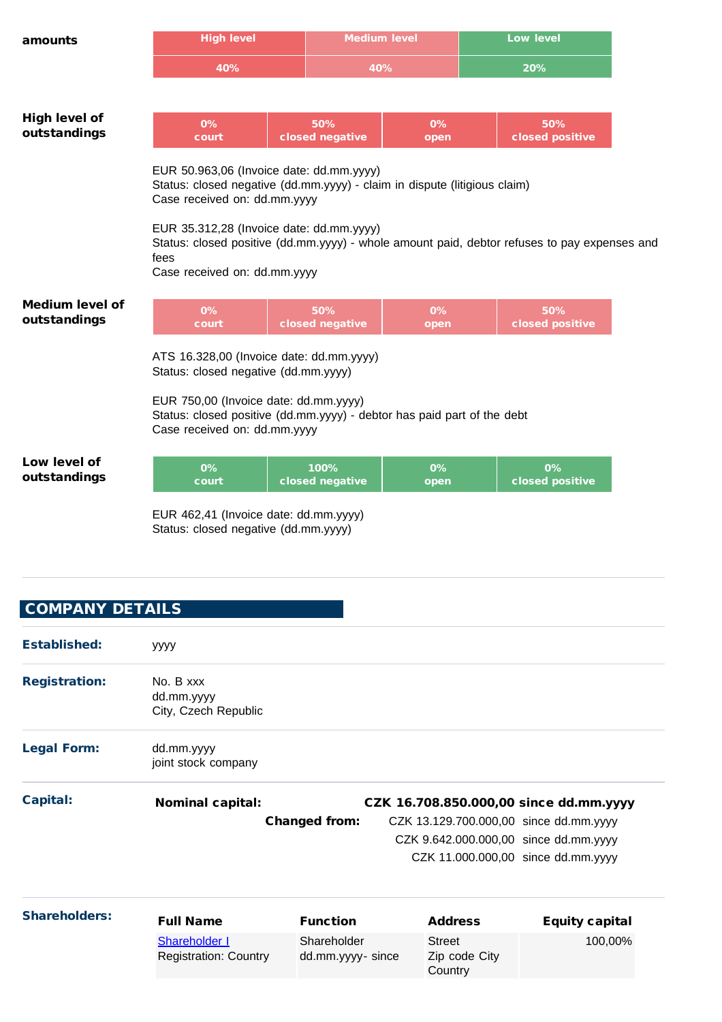| amounts                                | <b>High level</b>                                                                                                                                                                                                                                                                                                                         |  |                         | <b>Medium level</b> |  | <b>Low level</b>       |  |
|----------------------------------------|-------------------------------------------------------------------------------------------------------------------------------------------------------------------------------------------------------------------------------------------------------------------------------------------------------------------------------------------|--|-------------------------|---------------------|--|------------------------|--|
|                                        | 40%                                                                                                                                                                                                                                                                                                                                       |  | 40%                     |                     |  | 20%                    |  |
|                                        |                                                                                                                                                                                                                                                                                                                                           |  |                         |                     |  |                        |  |
| <b>High level of</b><br>outstandings   | 0%<br>court                                                                                                                                                                                                                                                                                                                               |  | 50%<br>closed negative  | 0%<br>open          |  | 50%<br>closed positive |  |
|                                        | EUR 50.963,06 (Invoice date: dd.mm.yyyy)<br>Status: closed negative (dd.mm.yyyy) - claim in dispute (litigious claim)<br>Case received on: dd.mm.yyyy<br>EUR 35.312,28 (Invoice date: dd.mm.yyyy)<br>Status: closed positive (dd.mm.yyyy) - whole amount paid, debtor refuses to pay expenses and<br>fees<br>Case received on: dd.mm.yyyy |  |                         |                     |  |                        |  |
| <b>Medium level of</b><br>outstandings | 0%<br>court                                                                                                                                                                                                                                                                                                                               |  | 50%<br>closed negative  | 0%<br>open          |  | 50%<br>closed positive |  |
|                                        | ATS 16.328,00 (Invoice date: dd.mm.yyyy)<br>Status: closed negative (dd.mm.yyyy)<br>EUR 750,00 (Invoice date: dd.mm.yyyy)<br>Status: closed positive (dd.mm.yyyy) - debtor has paid part of the debt<br>Case received on: dd.mm.yyyy                                                                                                      |  |                         |                     |  |                        |  |
| Low level of<br>outstandings           | 0%<br>court                                                                                                                                                                                                                                                                                                                               |  | 100%<br>closed negative | 0%<br>open          |  | 0%<br>closed positive  |  |
|                                        | EUR 462,41 (Invoice date: dd.mm.yyyy)                                                                                                                                                                                                                                                                                                     |  |                         |                     |  |                        |  |

Status: closed negative (dd.mm.yyyy)

# COMPANY DETAILS

| <b>Established:</b>  | уууу                         |                      |                                        |                       |
|----------------------|------------------------------|----------------------|----------------------------------------|-----------------------|
| <b>Registration:</b> | No. B xxx                    |                      |                                        |                       |
|                      | dd.mm.yyyy                   |                      |                                        |                       |
|                      | City, Czech Republic         |                      |                                        |                       |
| <b>Legal Form:</b>   | dd.mm.yyyy                   |                      |                                        |                       |
|                      | joint stock company          |                      |                                        |                       |
| Capital:             | <b>Nominal capital:</b>      |                      | CZK 16.708.850.000,00 since dd.mm.yyyy |                       |
|                      |                              | <b>Changed from:</b> | CZK 13.129.700.000,00 since dd.mm.yyyy |                       |
|                      |                              |                      | CZK 9.642.000.000,00 since dd.mm.yyyy  |                       |
|                      |                              |                      | CZK 11.000.000,00 since dd.mm.yyyy     |                       |
| <b>Shareholders:</b> | <b>Full Name</b>             | <b>Function</b>      | <b>Address</b>                         | <b>Equity capital</b> |
|                      | <b>Shareholder I</b>         | Shareholder          | Street                                 | 100,00%               |
|                      | <b>Registration: Country</b> | dd.mm.yyyy-since     | Zip code City<br>Country               |                       |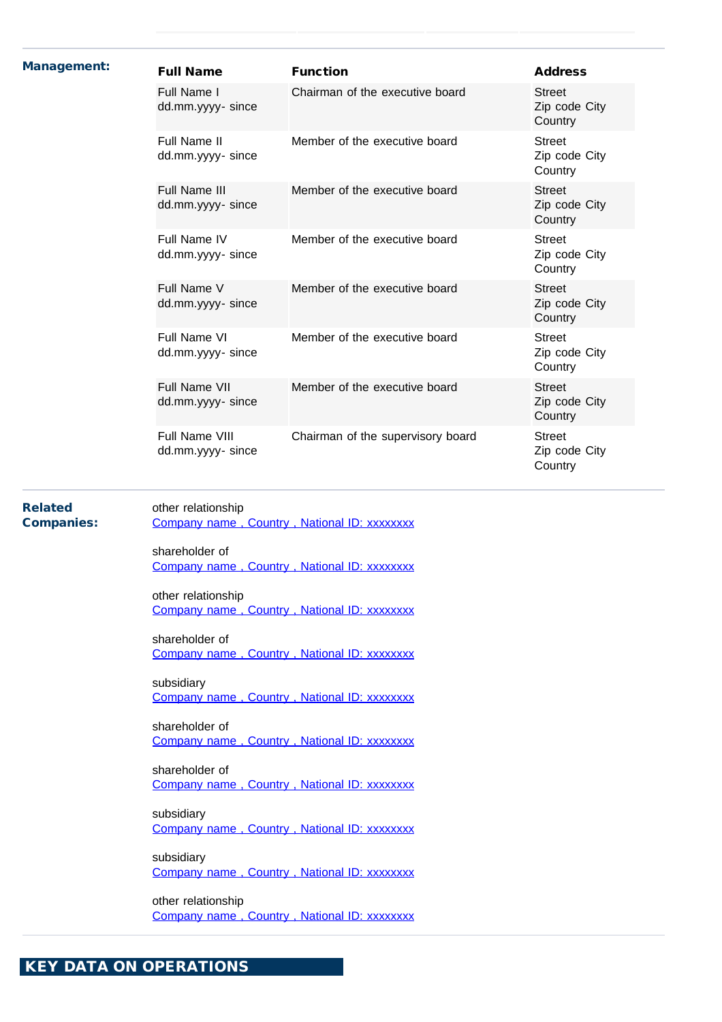| <b>Management:</b>                  | <b>Full Name</b>                                                                 | <b>Function</b>                   | <b>Address</b>                            |  |  |  |  |
|-------------------------------------|----------------------------------------------------------------------------------|-----------------------------------|-------------------------------------------|--|--|--|--|
|                                     | Full Name I<br>dd.mm.yyyy- since                                                 | Chairman of the executive board   | <b>Street</b><br>Zip code City<br>Country |  |  |  |  |
|                                     | Full Name II<br>dd.mm.yyyy- since                                                | Member of the executive board     | <b>Street</b><br>Zip code City<br>Country |  |  |  |  |
|                                     | Full Name III<br>dd.mm.yyyy- since                                               | Member of the executive board     | <b>Street</b><br>Zip code City<br>Country |  |  |  |  |
|                                     | Full Name IV<br>dd.mm.yyyy- since                                                | Member of the executive board     | <b>Street</b><br>Zip code City<br>Country |  |  |  |  |
|                                     | Full Name V<br>dd.mm.yyyy- since                                                 | Member of the executive board     | <b>Street</b><br>Zip code City<br>Country |  |  |  |  |
|                                     | Full Name VI<br>dd.mm.yyyy- since                                                | Member of the executive board     | <b>Street</b><br>Zip code City<br>Country |  |  |  |  |
|                                     | Full Name VII<br>dd.mm.yyyy- since                                               | Member of the executive board     | <b>Street</b><br>Zip code City<br>Country |  |  |  |  |
|                                     | Full Name VIII<br>dd.mm.yyyy-since                                               | Chairman of the supervisory board | <b>Street</b><br>Zip code City<br>Country |  |  |  |  |
| <b>Related</b><br><b>Companies:</b> | other relationship<br>Company name, Country, National ID: xxxxxxxx               |                                   |                                           |  |  |  |  |
|                                     | shareholder of<br>Company name, Country, National ID: xxxxxxxx                   |                                   |                                           |  |  |  |  |
|                                     |                                                                                  |                                   |                                           |  |  |  |  |
|                                     | other relationship<br>Company name, Country, National ID: xxxxxxxx               |                                   |                                           |  |  |  |  |
|                                     | shareholder of<br>Company name, Country, National ID: xxxxxxxx                   |                                   |                                           |  |  |  |  |
|                                     | subsidiary<br>Company name, Country, National ID: xxxxxxxx                       |                                   |                                           |  |  |  |  |
|                                     | shareholder of<br>Company name, Country, National ID: xxxxxxxx                   |                                   |                                           |  |  |  |  |
|                                     | shareholder of<br>Company name, Country, National ID: xxxxxxxx                   |                                   |                                           |  |  |  |  |
|                                     | subsidiary<br>Company name, Country, National ID: xxxxxxxx                       |                                   |                                           |  |  |  |  |
|                                     | subsidiary<br>Company name, Country, National ID: xxxxxxxx<br>other relationship |                                   |                                           |  |  |  |  |

KEY DATA ON OPERATIONS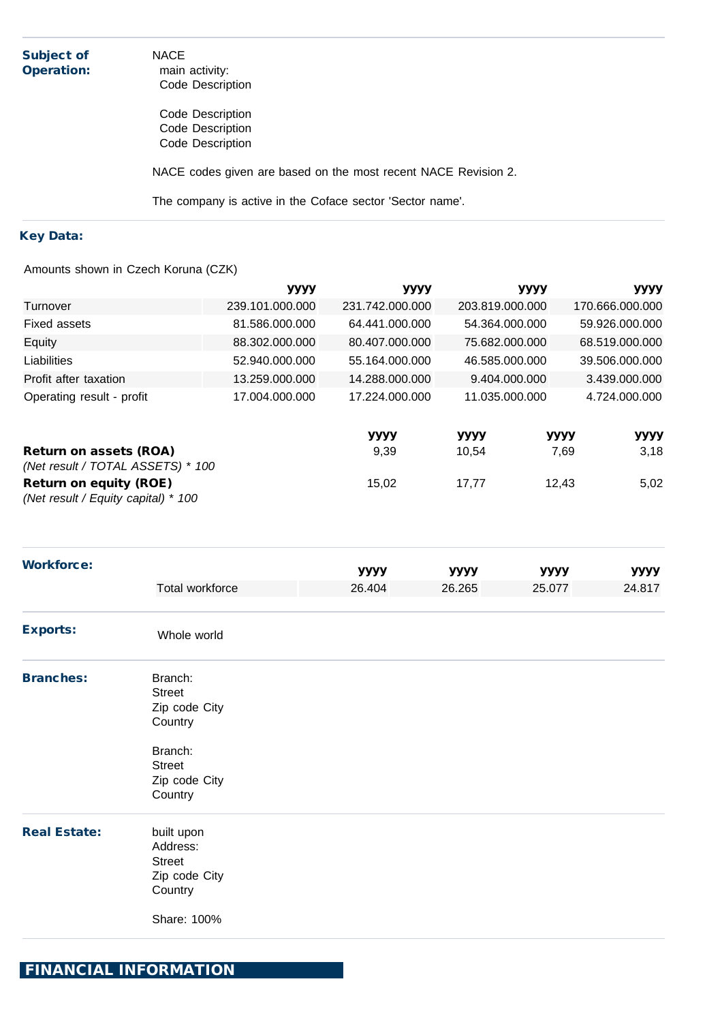| <b>Subject of</b><br><b>Operation:</b> | <b>NACE</b><br>main activity:<br>Code Description              |
|----------------------------------------|----------------------------------------------------------------|
|                                        | Code Description<br>Code Description<br>Code Description       |
|                                        | NACE codes given are based on the most recent NACE Revision 2. |
|                                        | The company is active in the Coface sector 'Sector name'.      |

# Key Data:

Amounts shown in Czech Koruna (CZK)

|                                                                      | уууу            | уууу            | уууу            | уууу            |
|----------------------------------------------------------------------|-----------------|-----------------|-----------------|-----------------|
| Turnover                                                             | 239.101.000.000 | 231.742.000.000 | 203.819.000.000 | 170.666.000.000 |
| Fixed assets                                                         | 81.586.000.000  | 64.441.000.000  | 54.364.000.000  | 59.926.000.000  |
| Equity                                                               | 88.302.000.000  | 80.407.000.000  | 75.682.000.000  | 68.519.000.000  |
| Liabilities                                                          | 52.940.000.000  | 55.164.000.000  | 46.585.000.000  | 39.506.000.000  |
| Profit after taxation                                                | 13.259.000.000  | 14.288.000.000  | 9.404.000.000   | 3.439.000.000   |
| Operating result - profit                                            | 17.004.000.000  | 17.224.000.000  | 11.035.000.000  | 4.724.000.000   |
|                                                                      |                 | уууу            | уууу            | уууу<br>уууу    |
| <b>Return on assets (ROA)</b><br>(Net result / TOTAL ASSETS) * 100   |                 | 9,39            | 10,54           | 3,18<br>7,69    |
| <b>Return on equity (ROE)</b><br>(Net result / Equity capital) * 100 |                 | 15,02           | 17,77           | 12,43<br>5,02   |

| <b>Workforce:</b>   |                                                                     | уууу   | уууу   | уууу   | уууу   |
|---------------------|---------------------------------------------------------------------|--------|--------|--------|--------|
|                     | Total workforce                                                     | 26.404 | 26.265 | 25.077 | 24.817 |
| <b>Exports:</b>     | Whole world                                                         |        |        |        |        |
| <b>Branches:</b>    | Branch:<br><b>Street</b><br>Zip code City<br>Country                |        |        |        |        |
|                     | Branch:<br><b>Street</b><br>Zip code City<br>Country                |        |        |        |        |
| <b>Real Estate:</b> | built upon<br>Address:<br><b>Street</b><br>Zip code City<br>Country |        |        |        |        |
|                     | Share: 100%                                                         |        |        |        |        |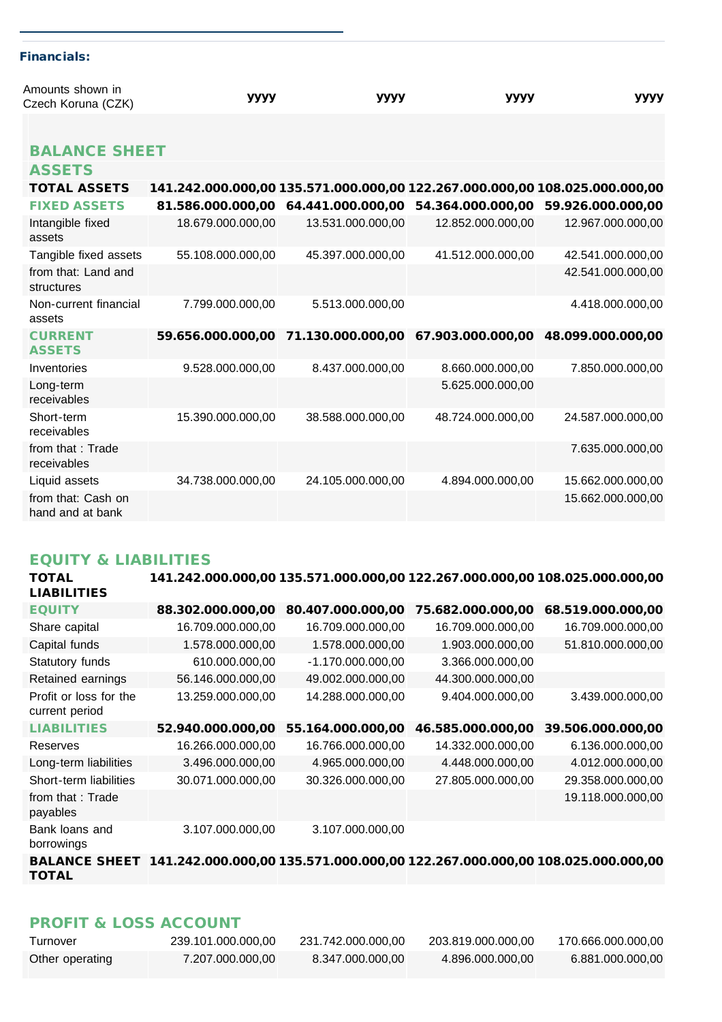| Amounts shown in                       | уууу                                                                        | уууу              | уууу                                                                    | уууу              |
|----------------------------------------|-----------------------------------------------------------------------------|-------------------|-------------------------------------------------------------------------|-------------------|
| Czech Koruna (CZK)                     |                                                                             |                   |                                                                         |                   |
|                                        |                                                                             |                   |                                                                         |                   |
| <b>BALANCE SHEET</b>                   |                                                                             |                   |                                                                         |                   |
| <b>ASSETS</b>                          |                                                                             |                   |                                                                         |                   |
| <b>TOTAL ASSETS</b>                    | 141.242.000.000,00 135.571.000.000,00 122.267.000.000,00 108.025.000.000,00 |                   |                                                                         |                   |
| <b>FIXED ASSETS</b>                    |                                                                             |                   | 81.586.000.000,00 64.441.000.000,00 54.364.000.000,00 59.926.000.000,00 |                   |
| Intangible fixed<br>assets             | 18.679.000.000,00                                                           | 13.531.000.000,00 | 12.852.000.000,00                                                       | 12.967.000.000,00 |
| Tangible fixed assets                  | 55.108.000.000,00                                                           | 45.397.000.000,00 | 41.512.000.000,00                                                       | 42.541.000.000,00 |
| from that: Land and<br>structures      |                                                                             |                   |                                                                         | 42.541.000.000,00 |
| Non-current financial<br>assets        | 7.799.000.000,00                                                            | 5.513.000.000,00  |                                                                         | 4.418.000.000,00  |
| <b>CURRENT</b><br><b>ASSETS</b>        |                                                                             |                   | 59.656.000.000,00 71.130.000.000,00 67.903.000.000,00 48.099.000.000,00 |                   |
| Inventories                            | 9.528.000.000,00                                                            | 8.437.000.000,00  | 8.660.000.000,00                                                        | 7.850.000.000,00  |
| Long-term<br>receivables               |                                                                             |                   | 5.625.000.000,00                                                        |                   |
| Short-term<br>receivables              | 15.390.000.000,00                                                           | 38.588.000.000,00 | 48.724.000.000,00                                                       | 24.587.000.000,00 |
| from that: Trade<br>receivables        |                                                                             |                   |                                                                         | 7.635.000.000,00  |
| Liquid assets                          | 34.738.000.000,00                                                           | 24.105.000.000,00 | 4.894.000.000,00                                                        | 15.662.000.000,00 |
| from that: Cash on<br>hand and at bank |                                                                             |                   |                                                                         | 15.662.000.000,00 |

# EQUITY & LIABILITIES

Financials:

| <b>TOTAL</b><br><b>LIABILITIES</b>       | 141.242.000.000,00 135.571.000.000,00 122.267.000.000,00 108.025.000.000,00 |                     |                   |                   |
|------------------------------------------|-----------------------------------------------------------------------------|---------------------|-------------------|-------------------|
| <b>EQUITY</b>                            | 88.302.000.000,00                                                           | 80.407.000.000,00   | 75.682.000.000,00 | 68.519.000.000,00 |
| Share capital                            | 16.709.000.000,00                                                           | 16.709.000.000,00   | 16.709.000.000,00 | 16.709.000.000,00 |
| Capital funds                            | 1.578.000.000,00                                                            | 1.578.000.000,00    | 1.903.000.000,00  | 51.810.000.000,00 |
| Statutory funds                          | 610.000.000,00                                                              | $-1.170.000.000,00$ | 3.366.000.000,00  |                   |
| Retained earnings                        | 56.146.000.000,00                                                           | 49.002.000.000,00   | 44.300.000.000,00 |                   |
| Profit or loss for the<br>current period | 13.259.000.000,00                                                           | 14.288.000.000,00   | 9.404.000.000,00  | 3.439.000.000,00  |
| <b>LIABILITIES</b>                       | 52.940.000.000,00                                                           | 55.164.000.000,00   | 46.585.000.000,00 | 39.506.000.000,00 |
| Reserves                                 | 16.266.000.000,00                                                           | 16.766.000.000,00   | 14.332.000.000,00 | 6.136.000.000,00  |
| Long-term liabilities                    | 3.496.000.000,00                                                            | 4.965.000.000,00    | 4.448.000.000,00  | 4.012.000.000,00  |
| Short-term liabilities                   | 30.071.000.000,00                                                           | 30.326.000.000,00   | 27.805.000.000,00 | 29.358.000.000,00 |
| from that: Trade<br>payables             |                                                                             |                     |                   | 19.118.000.000,00 |
| Bank loans and<br>borrowings             | 3.107.000.000,00                                                            | 3.107.000.000,00    |                   |                   |

BALANCE SHEET 141.242.000.000,00 135.571.000.000,00 122.267.000.000,00 108.025.000.000,00 TOTAL

# PROFIT & LOSS ACCOUNT

| Turnover        | 239.101.000.000.00 | 231.742.000.000,00 | 203.819.000.000,00 | 170.666.000.000.00 |
|-----------------|--------------------|--------------------|--------------------|--------------------|
| Other operating | 7.207.000.000.00   | 8.347.000.000.00   | 4.896.000.000.00   | 6.881.000.000.00   |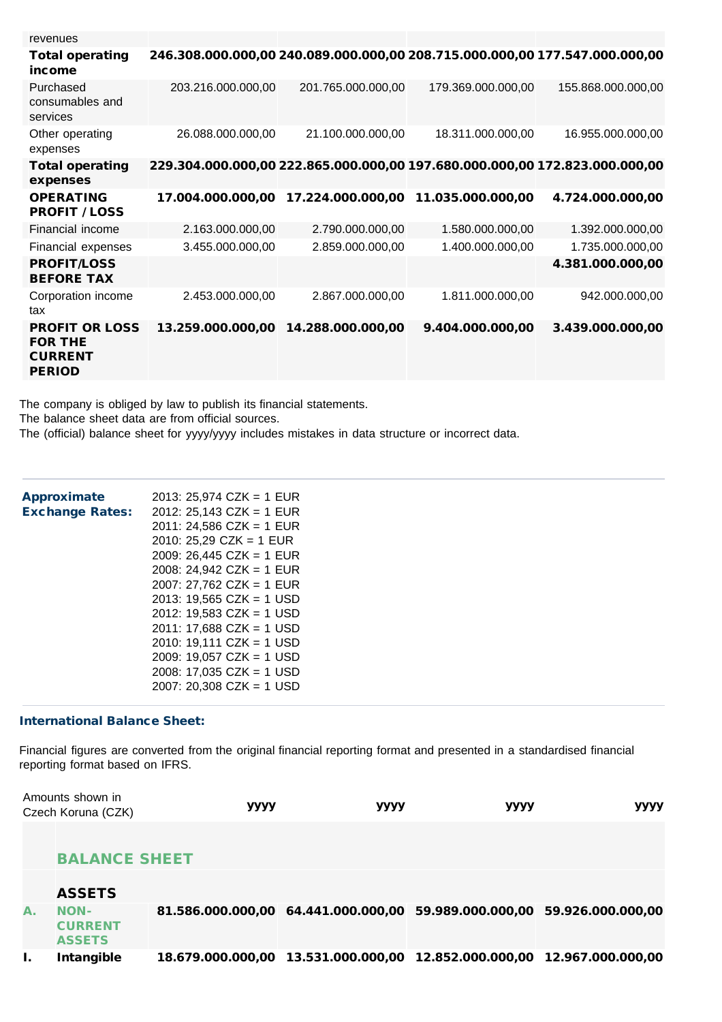| revenues                                                                   |                                                                             |                    |                    |                    |
|----------------------------------------------------------------------------|-----------------------------------------------------------------------------|--------------------|--------------------|--------------------|
| <b>Total operating</b><br>income                                           | 246.308.000.000,00 240.089.000.000,00 208.715.000.000,00 177.547.000.000,00 |                    |                    |                    |
| Purchased<br>consumables and<br>services                                   | 203.216.000.000,00                                                          | 201.765.000.000,00 | 179.369.000.000,00 | 155.868.000.000,00 |
| Other operating<br>expenses                                                | 26.088.000.000.00                                                           | 21.100.000.000,00  | 18.311.000.000,00  | 16.955.000.000,00  |
| <b>Total operating</b><br>expenses                                         | 229.304.000.000,00 222.865.000.000,00 197.680.000.000,00 172.823.000.000,00 |                    |                    |                    |
| <b>OPERATING</b><br><b>PROFIT / LOSS</b>                                   | 17.004.000.000,00                                                           | 17.224.000.000,00  | 11.035.000.000,00  | 4.724.000.000,00   |
| Financial income                                                           | 2.163.000.000,00                                                            | 2.790.000.000,00   | 1.580.000.000,00   | 1.392.000.000,00   |
| Financial expenses                                                         | 3.455.000.000,00                                                            | 2.859.000.000,00   | 1.400.000.000,00   | 1.735.000.000,00   |
| <b>PROFIT/LOSS</b><br><b>BEFORE TAX</b>                                    |                                                                             |                    |                    | 4.381.000.000,00   |
| Corporation income<br>tax                                                  | 2.453.000.000,00                                                            | 2.867.000.000,00   | 1.811.000.000,00   | 942.000.000,00     |
| <b>PROFIT OR LOSS</b><br><b>FOR THE</b><br><b>CURRENT</b><br><b>PERIOD</b> | 13.259.000.000,00                                                           | 14.288.000.000,00  | 9.404.000.000,00   | 3.439.000.000,00   |

The company is obliged by law to publish its financial statements. The balance sheet data are from official sources.

The (official) balance sheet for yyyy/yyyy includes mistakes in data structure or incorrect data.

| <b>Approximate</b>     | 2013: 25,974 CZK = 1 EUR   |
|------------------------|----------------------------|
| <b>Exchange Rates:</b> | 2012: 25,143 CZK = 1 EUR   |
|                        | $2011: 24,586 CZK = 1 EUR$ |
|                        | 2010: 25,29 CZK = 1 EUR    |
|                        | 2009: 26,445 CZK = 1 EUR   |
|                        | 2008: 24,942 CZK = 1 EUR   |
|                        | $2007: 27,762$ CZK = 1 EUR |
|                        | $2013: 19.565 CZK = 1 USD$ |
|                        | 2012: 19,583 CZK = 1 USD   |
|                        | 2011: 17,688 CZK = 1 USD   |
|                        | $2010: 19,111 CZK = 1 USD$ |
|                        | 2009: 19,057 CZK = 1 USD   |
|                        | 2008: 17,035 CZK = 1 USD   |
|                        | $2007: 20.308 CZK = 1 USD$ |
|                        |                            |

#### International Balance Sheet:

Financial figures are converted from the original financial reporting format and presented in a standardised financial reporting format based on IFRS.

|    | Amounts shown in<br>Czech Koruna (CZK)         | уууу | уууу | уууу                                                                       | уууу |
|----|------------------------------------------------|------|------|----------------------------------------------------------------------------|------|
|    |                                                |      |      |                                                                            |      |
|    | <b>BALANCE SHEET</b>                           |      |      |                                                                            |      |
|    | <b>ASSETS</b>                                  |      |      |                                                                            |      |
| А. | <b>NON-</b><br><b>CURRENT</b><br><b>ASSETS</b> |      |      | 81.586.000.000,00 64.441.000.000,00 59.989.000.000,00 59.926.000.000,00    |      |
|    | Intangible                                     |      |      | 18.679.000.000,00  13.531.000.000,00  12.852.000.000,00  12.967.000.000,00 |      |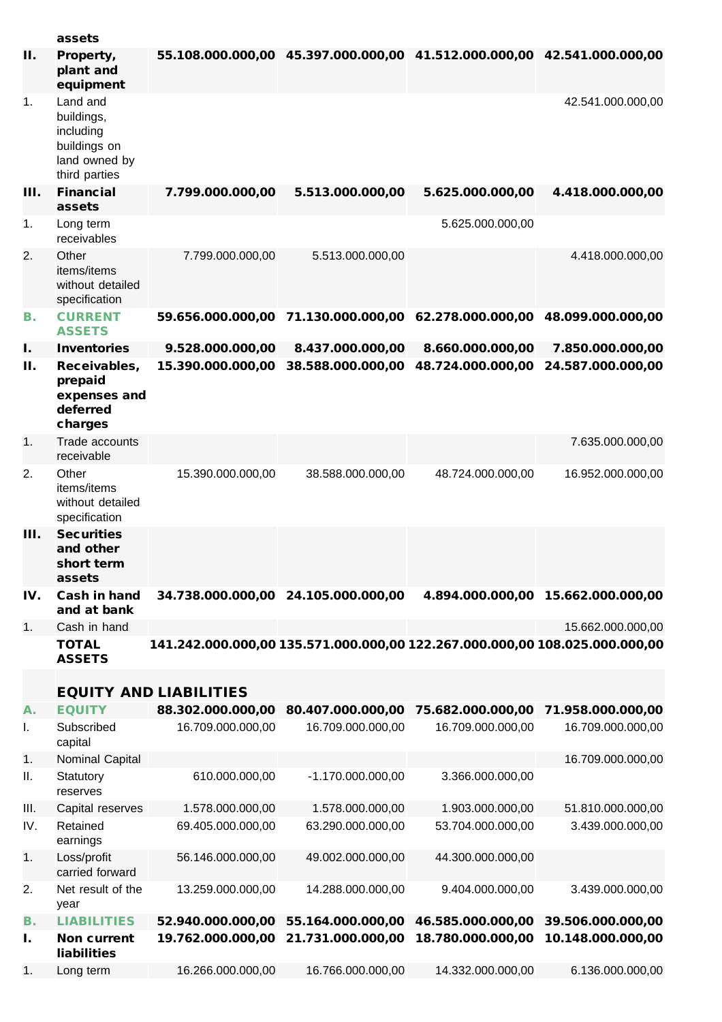|      | assets                                                                                |                                                                             |                                                                         |                   |                                    |
|------|---------------------------------------------------------------------------------------|-----------------------------------------------------------------------------|-------------------------------------------------------------------------|-------------------|------------------------------------|
| П.   | Property,<br>plant and<br>equipment                                                   |                                                                             | 55.108.000.000,00 45.397.000.000,00 41.512.000.000,00 42.541.000.000,00 |                   |                                    |
| 1.   | Land and<br>buildings,<br>including<br>buildings on<br>land owned by<br>third parties |                                                                             |                                                                         |                   | 42.541.000.000,00                  |
| III. | <b>Financial</b><br>assets                                                            | 7.799.000.000,00                                                            | 5.513.000.000,00                                                        | 5.625.000.000,00  | 4.418.000.000,00                   |
| 1.   | Long term<br>receivables                                                              |                                                                             |                                                                         | 5.625.000.000,00  |                                    |
| 2.   | Other<br>items/items<br>without detailed<br>specification                             | 7.799.000.000,00                                                            | 5.513.000.000,00                                                        |                   | 4.418.000.000,00                   |
| В.   | <b>CURRENT</b><br><b>ASSETS</b>                                                       | 59.656.000.000,00                                                           | 71.130.000.000,00                                                       | 62.278.000.000,00 | 48.099.000.000,00                  |
| I.   | <b>Inventories</b>                                                                    | 9.528.000.000,00                                                            | 8.437.000.000,00                                                        | 8.660.000.000,00  | 7.850.000.000,00                   |
| П.   | Receivables,<br>prepaid<br>expenses and<br>deferred<br>charges                        | 15.390.000.000,00                                                           | 38.588.000.000,00                                                       | 48.724.000.000,00 | 24.587.000.000,00                  |
| 1.   | Trade accounts<br>receivable                                                          |                                                                             |                                                                         |                   | 7.635.000.000,00                   |
| 2.   | Other<br>items/items<br>without detailed<br>specification                             | 15.390.000.000,00                                                           | 38.588.000.000,00                                                       | 48.724.000.000,00 | 16.952.000.000,00                  |
| III. | <b>Securities</b><br>and other<br>short term<br>assets                                |                                                                             |                                                                         |                   |                                    |
| IV.  | Cash in hand<br>and at bank                                                           |                                                                             | 34.738.000.000,00 24.105.000.000,00                                     |                   | 4.894.000.000,00 15.662.000.000,00 |
| 1.   | Cash in hand                                                                          |                                                                             |                                                                         |                   | 15.662.000.000,00                  |
|      | <b>TOTAL</b><br><b>ASSETS</b>                                                         | 141.242.000.000,00 135.571.000.000,00 122.267.000.000,00 108.025.000.000,00 |                                                                         |                   |                                    |
|      |                                                                                       | <b>EQUITY AND LIABILITIES</b>                                               |                                                                         |                   |                                    |
| А.   | <b>EQUITY</b>                                                                         | 88.302.000.000,00                                                           | 80.407.000.000,00                                                       | 75.682.000.000,00 | 71.958.000.000,00                  |
| I.   | Subscribed<br>capital                                                                 | 16.709.000.000,00                                                           | 16.709.000.000,00                                                       | 16.709.000.000,00 | 16.709.000.000,00                  |
| 1.   | Nominal Capital                                                                       |                                                                             |                                                                         |                   | 16.709.000.000,00                  |
| ΙΙ.  | Statutory<br>reserves                                                                 | 610.000.000,00                                                              | -1.170.000.000,00                                                       | 3.366.000.000,00  |                                    |
| Ш.   | Capital reserves                                                                      | 1.578.000.000,00                                                            | 1.578.000.000,00                                                        | 1.903.000.000,00  | 51.810.000.000,00                  |
| IV.  | Retained<br>earnings                                                                  | 69.405.000.000,00                                                           | 63.290.000.000,00                                                       | 53.704.000.000,00 | 3.439.000.000,00                   |
| 1.   | Loss/profit<br>carried forward                                                        | 56.146.000.000,00                                                           | 49.002.000.000,00                                                       | 44.300.000.000,00 |                                    |
| 2.   | Net result of the<br>year                                                             | 13.259.000.000,00                                                           | 14.288.000.000,00                                                       | 9.404.000.000,00  | 3.439.000.000,00                   |
| В.   | <b>LIABILITIES</b>                                                                    | 52.940.000.000,00                                                           | 55.164.000.000,00                                                       | 46.585.000.000,00 | 39.506.000.000,00                  |
| ı.   | <b>Non current</b><br>liabilities                                                     | 19.762.000.000,00                                                           | 21.731.000.000,00                                                       | 18.780.000.000,00 | 10.148.000.000,00                  |
| 1.   | Long term                                                                             | 16.266.000.000,00                                                           | 16.766.000.000,00                                                       | 14.332.000.000,00 | 6.136.000.000,00                   |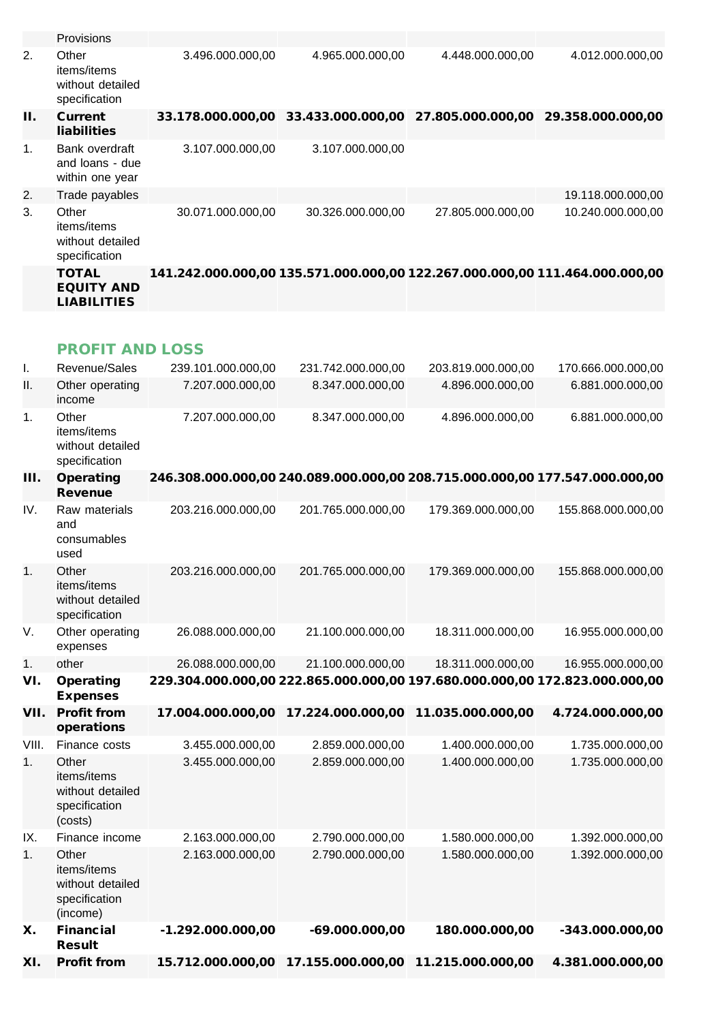|                | Provisions                                                |                   |                                                                             |                   |                   |
|----------------|-----------------------------------------------------------|-------------------|-----------------------------------------------------------------------------|-------------------|-------------------|
| 2.             | Other<br>items/items<br>without detailed<br>specification | 3.496.000.000,00  | 4.965.000.000,00                                                            | 4.448.000.000,00  | 4.012.000.000.00  |
| Н.             | <b>Current</b><br><b>liabilities</b>                      |                   | 33.178.000.000,00 33.433.000.000,00                                         | 27.805.000.000,00 | 29.358.000.000,00 |
| $\mathbf{1}$ . | Bank overdraft<br>and loans - due<br>within one year      | 3.107.000.000,00  | 3.107.000.000,00                                                            |                   |                   |
| 2.             | Trade payables                                            |                   |                                                                             |                   | 19.118.000.000,00 |
| 3.             | Other<br>items/items<br>without detailed<br>specification | 30.071.000.000,00 | 30.326.000.000,00                                                           | 27.805.000.000,00 | 10.240.000.000,00 |
|                | <b>TOTAL</b><br><b>EQUITY AND</b><br><b>LIABILITIES</b>   |                   | 141.242.000.000,00 135.571.000.000,00 122.267.000.000,00 111.464.000.000,00 |                   |                   |

# PROFIT AND LOSS

| Ι.    | Revenue/Sales                                                         | 239.101.000.000,00                                                          | 231.742.000.000,00 | 203.819.000.000,00 | 170.666.000.000,00 |
|-------|-----------------------------------------------------------------------|-----------------------------------------------------------------------------|--------------------|--------------------|--------------------|
| ΙΙ.   | Other operating<br>income                                             | 7.207.000.000,00                                                            | 8.347.000.000,00   | 4.896.000.000,00   | 6.881.000.000,00   |
| 1.    | Other<br>items/items<br>without detailed<br>specification             | 7.207.000.000,00                                                            | 8.347.000.000,00   | 4.896.000.000,00   | 6.881.000.000,00   |
| Ш.    | <b>Operating</b><br><b>Revenue</b>                                    | 246.308.000.000,00 240.089.000.000,00 208.715.000.000,00 177.547.000.000,00 |                    |                    |                    |
| IV.   | Raw materials<br>and<br>consumables<br>used                           | 203.216.000.000,00                                                          | 201.765.000.000,00 | 179.369.000.000,00 | 155.868.000.000,00 |
| 1.    | Other<br>items/items<br>without detailed<br>specification             | 203.216.000.000,00                                                          | 201.765.000.000,00 | 179.369.000.000,00 | 155.868.000.000,00 |
| V.    | Other operating<br>expenses                                           | 26.088.000.000,00                                                           | 21.100.000.000,00  | 18.311.000.000,00  | 16.955.000.000,00  |
| 1.    | other                                                                 | 26.088.000.000,00                                                           | 21.100.000.000,00  | 18.311.000.000,00  | 16.955.000.000,00  |
|       |                                                                       |                                                                             |                    |                    |                    |
| VI.   | <b>Operating</b><br><b>Expenses</b>                                   | 229.304.000.000,00 222.865.000.000,00 197.680.000.000,00 172.823.000.000,00 |                    |                    |                    |
| VII.  | <b>Profit from</b><br>operations                                      | 17.004.000.000,00                                                           | 17.224.000.000,00  | 11.035.000.000,00  | 4.724.000.000,00   |
| VIII. | Finance costs                                                         | 3.455.000.000,00                                                            | 2.859.000.000,00   | 1.400.000.000,00   | 1.735.000.000,00   |
| 1.    | Other<br>items/items<br>without detailed<br>specification<br>(costs)  | 3.455.000.000,00                                                            | 2.859.000.000,00   | 1.400.000.000,00   | 1.735.000.000,00   |
| IX.   | Finance income                                                        | 2.163.000.000,00                                                            | 2.790.000.000,00   | 1.580.000.000,00   | 1.392.000.000,00   |
| 1.    | Other<br>items/items<br>without detailed<br>specification<br>(income) | 2.163.000.000,00                                                            | 2.790.000.000,00   | 1.580.000.000,00   | 1.392.000.000,00   |
| Х.    | <b>Financial</b><br><b>Result</b>                                     | $-1.292.000.000,00$                                                         | $-69.000.000,00$   | 180.000.000,00     | -343.000.000,00    |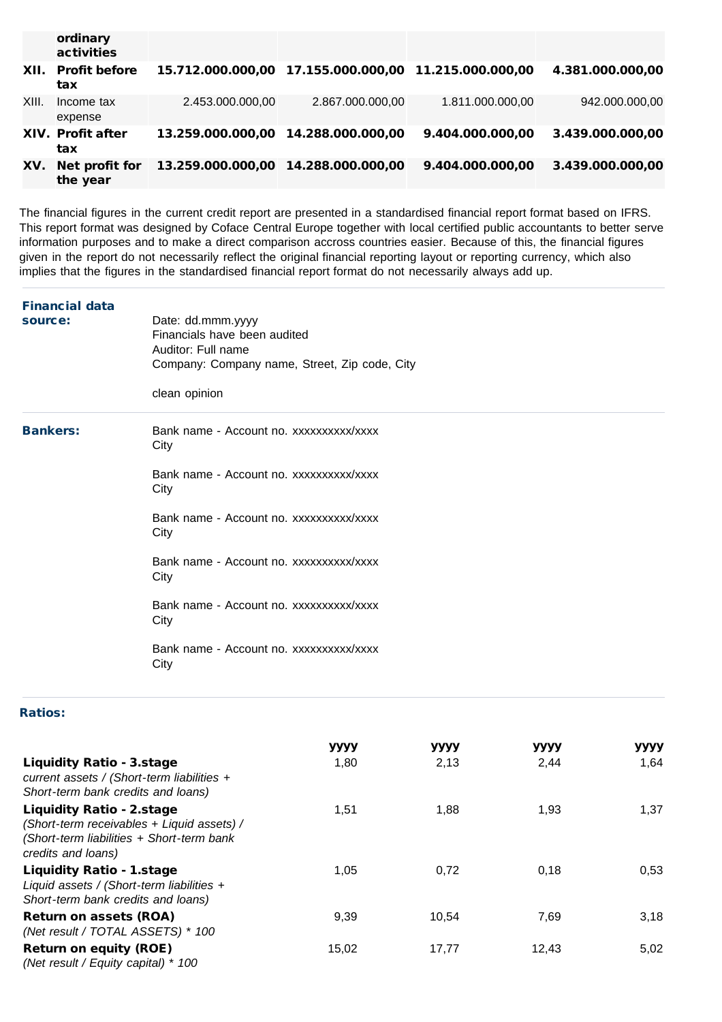|       | ordinary<br>activities     |                  |                                                       |                  |                  |
|-------|----------------------------|------------------|-------------------------------------------------------|------------------|------------------|
|       | XII. Profit before<br>tax  |                  | 15.712.000.000,00 17.155.000.000,00 11.215.000.000,00 |                  | 4.381.000.000,00 |
| XIII. | Income tax<br>expense      | 2.453.000.000,00 | 2.867.000.000,00                                      | 1.811.000.000,00 | 942.000.000,00   |
|       | XIV. Profit after<br>tax   |                  |                                                       | 9.404.000.000.00 | 3.439.000.000,00 |
| XV.   | Net profit for<br>the year |                  |                                                       | 9.404.000.000.00 | 3.439.000.000,00 |

The financial figures in the current credit report are presented in a standardised financial report format based on IFRS. This report format was designed by Coface Central Europe together with local certified public accountants to better serve information purposes and to make a direct comparison accross countries easier. Because of this, the financial figures given in the report do not necessarily reflect the original financial reporting layout or reporting currency, which also implies that the figures in the standardised financial report format do not necessarily always add up.

| <b>Financial data</b><br>source: | Date: dd.mmm.yyyy<br>Financials have been audited<br>Auditor: Full name<br>Company: Company name, Street, Zip code, City<br>clean opinion                                                                                                                                                                      |
|----------------------------------|----------------------------------------------------------------------------------------------------------------------------------------------------------------------------------------------------------------------------------------------------------------------------------------------------------------|
| <b>Bankers:</b>                  | Bank name - Account no. xxxxxxxxxx/xxxx<br>City<br>Bank name - Account no. xxxxxxxxxx/xxxx<br>City<br>Bank name - Account no. xxxxxxxxxx/xxxx<br>City<br>Bank name - Account no. xxxxxxxxxx/xxxx<br>City<br>Bank name - Account no. xxxxxxxxxx/xxxx<br>City<br>Bank name - Account no. xxxxxxxxxx/xxxx<br>City |

### Ratios:

|                                                                                                                                                   | уууу  | уууу  | уууу  | уууу |
|---------------------------------------------------------------------------------------------------------------------------------------------------|-------|-------|-------|------|
| <b>Liquidity Ratio - 3.stage</b><br>current assets / (Short-term liabilities +<br>Short-term bank credits and loans)                              | 1,80  | 2,13  | 2,44  | 1,64 |
| <b>Liquidity Ratio - 2.stage</b><br>(Short-term receivables + Liquid assets) /<br>(Short-term liabilities + Short-term bank<br>credits and loans) | 1,51  | 1,88  | 1,93  | 1,37 |
| <b>Liquidity Ratio - 1.stage</b><br>Liquid assets / (Short-term liabilities $+$<br>Short-term bank credits and loans)                             | 1.05  | 0,72  | 0,18  | 0,53 |
| <b>Return on assets (ROA)</b><br>(Net result / TOTAL ASSETS) * 100                                                                                | 9,39  | 10,54 | 7,69  | 3,18 |
| <b>Return on equity (ROE)</b><br>(Net result / Equity capital) $*$ 100                                                                            | 15,02 | 17,77 | 12,43 | 5,02 |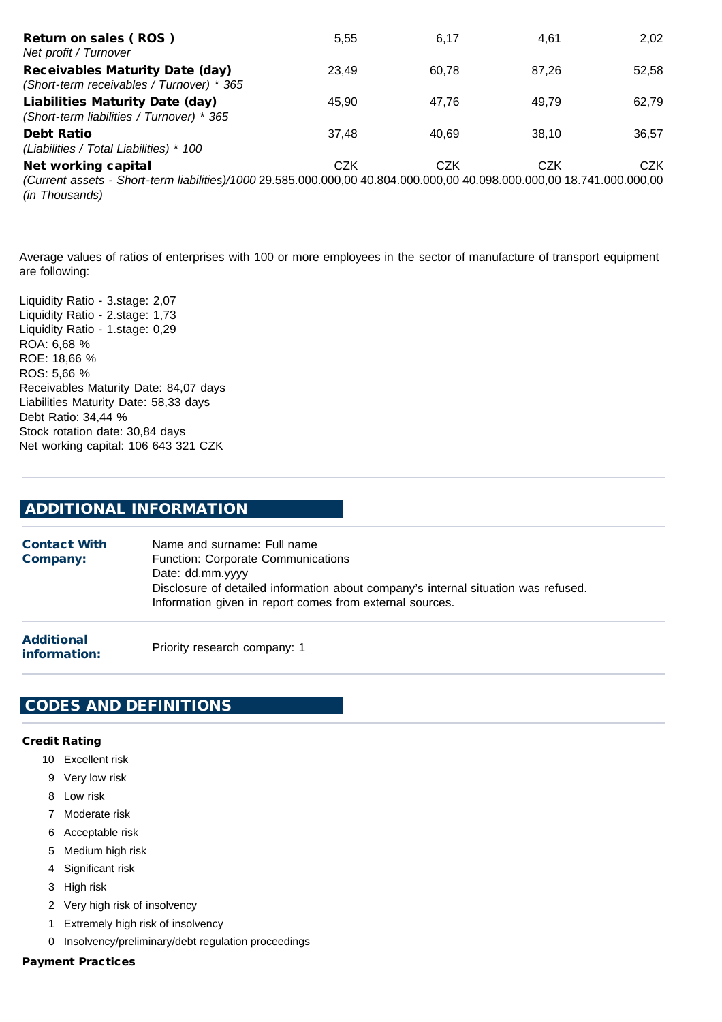| Return on sales (ROS)<br>Net profit / Turnover                                                                                                  | 5,55       | 6.17       | 4.61  | 2.02  |
|-------------------------------------------------------------------------------------------------------------------------------------------------|------------|------------|-------|-------|
| <b>Receivables Maturity Date (day)</b><br>(Short-term receivables / Turnover) * 365                                                             | 23.49      | 60.78      | 87.26 | 52,58 |
| <b>Liabilities Maturity Date (day)</b><br>(Short-term liabilities / Turnover) * 365                                                             | 45.90      | 47.76      | 49.79 | 62,79 |
| <b>Debt Ratio</b><br>(Liabilities / Total Liabilities) * 100                                                                                    | 37.48      | 40.69      | 38.10 | 36.57 |
| Net working capital                                                                                                                             | <b>CZK</b> | <b>CZK</b> | CZK   | CZK   |
| (Current assets - Short-term liabilities)/1000 29.585.000.000,00 40.804.000.000,00 40.098.000.000,00 18.741.000.000,00<br><i>(in Thousands)</i> |            |            |       |       |

Average values of ratios of enterprises with 100 or more employees in the sector of manufacture of transport equipment are following:

Liquidity Ratio - 3.stage: 2,07 Liquidity Ratio - 2.stage: 1,73 Liquidity Ratio - 1.stage: 0,29 ROA: 6,68 % ROE: 18,66 % ROS: 5,66 % Receivables Maturity Date: 84,07 days Liabilities Maturity Date: 58,33 days Debt Ratio: 34,44 % Stock rotation date: 30,84 days Net working capital: 106 643 321 CZK

# ADDITIONAL INFORMATION

Contact With Company: Name and surname: Full name Function: Corporate Communications Date: dd.mm.yyyy Disclosure of detailed information about company's internal situation was refused. Information given in report comes from external sources.

Additional information: Priority research company: 1

# CODES AND DEFINITIONS

#### Credit Rating

- 10 Excellent risk
- 9 Very low risk
- 8 Low risk
- 7 Moderate risk
- 6 Acceptable risk
- 5 Medium high risk
- 4 Significant risk
- 3 High risk
- 2 Very high risk of insolvency
- 1 Extremely high risk of insolvency
- 0 Insolvency/preliminary/debt regulation proceedings

#### Payment Practices